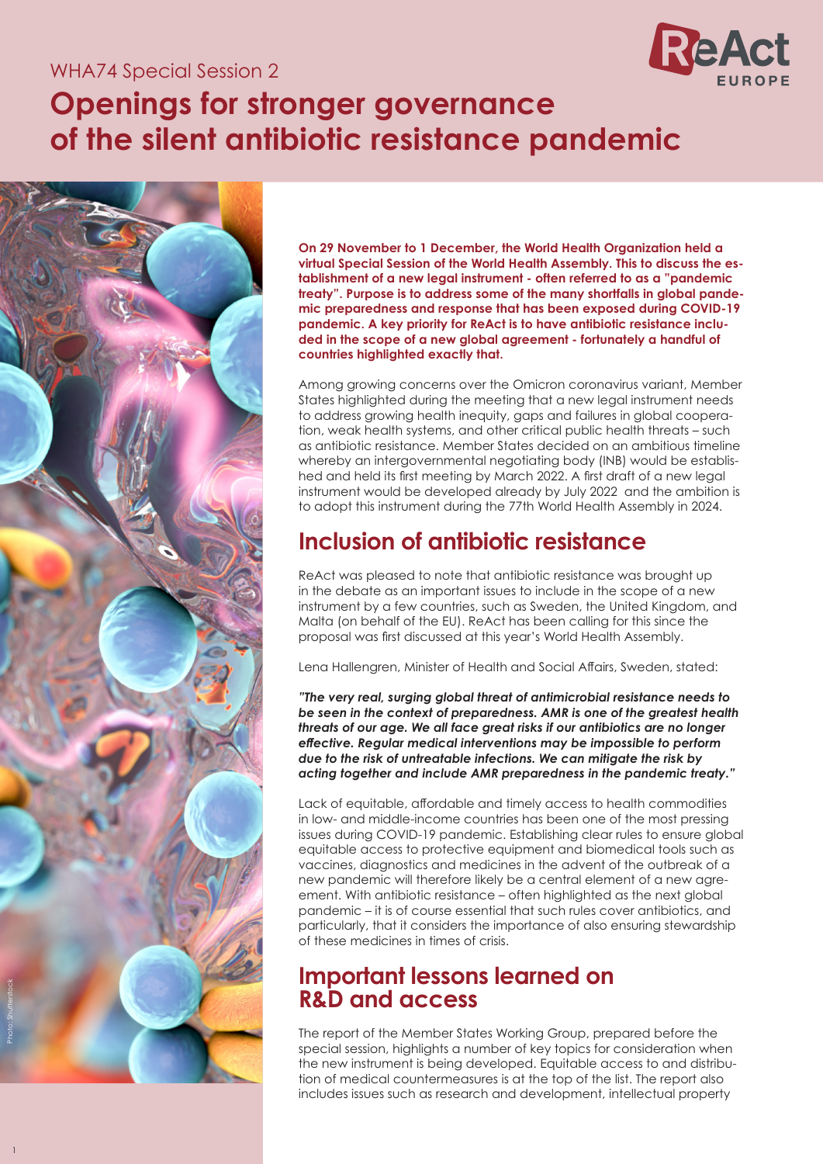#### WHA74 Special Session 2



# **Openings for stronger governance of the silent antibiotic resistance pandemic**



1

**On 29 November to 1 December, the World Health Organization held a virtual Special Session of the World Health Assembly. This to discuss the establishment of a new legal instrument - often referred to as a "pandemic treaty". Purpose is to address some of the many shortfalls in global pandemic preparedness and response that has been exposed during COVID-19 pandemic. A key priority for ReAct is to have antibiotic resistance included in the scope of a new global agreement - fortunately a handful of countries highlighted exactly that.**

Among growing concerns over the Omicron coronavirus variant, Member States highlighted during the meeting that a new legal instrument needs to address growing health inequity, gaps and failures in global cooperation, weak health systems, and other critical public health threats – such as antibiotic resistance. Member States decided on an ambitious timeline whereby an intergovernmental negotiating body (INB) would be established and held its first meeting by March 2022. A first draft of a new legal instrument would be developed already by July 2022 and the ambition is to adopt this instrument during the 77th World Health Assembly in 2024.

# **Inclusion of antibiotic resistance**

ReAct was pleased to note that antibiotic resistance was brought up in the debate as an important issues to include in the scope of a new instrument by a few countries, such as Sweden, the United Kingdom, and Malta (on behalf of the EU). ReAct has been calling for this since the proposal was first discussed at this year's World Health Assembly.

Lena Hallengren, Minister of Health and Social Affairs, Sweden, stated:

*"The very real, surging global threat of antimicrobial resistance needs to be seen in the context of preparedness. AMR is one of the greatest health threats of our age. We all face great risks if our antibiotics are no longer effective. Regular medical interventions may be impossible to perform due to the risk of untreatable infections. We can mitigate the risk by acting together and include AMR preparedness in the pandemic treaty."*

Lack of equitable, affordable and timely access to health commodities in low- and middle-income countries has been one of the most pressing issues during COVID-19 pandemic. Establishing clear rules to ensure global equitable access to protective equipment and biomedical tools such as vaccines, diagnostics and medicines in the advent of the outbreak of a new pandemic will therefore likely be a central element of a new agreement. With antibiotic resistance – often highlighted as the next global pandemic – it is of course essential that such rules cover antibiotics, and particularly, that it considers the importance of also ensuring stewardship of these medicines in times of crisis.

## **Important lessons learned on R&D and access**

The report of the Member States Working Group, prepared before the special session, highlights a number of key topics for consideration when the new instrument is being developed. Equitable access to and distribution of medical countermeasures is at the top of the list. The report also includes issues such as research and development, intellectual property